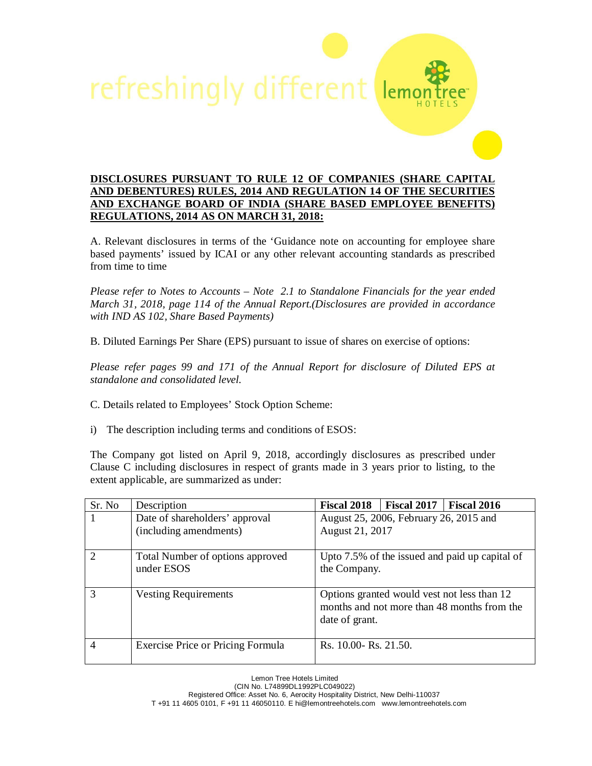

## **DISCLOSURES PURSUANT TO RULE 12 OF COMPANIES (SHARE CAPITAL AND DEBENTURES) RULES, 2014 AND REGULATION 14 OF THE SECURITIES AND EXCHANGE BOARD OF INDIA (SHARE BASED EMPLOYEE BENEFITS) REGULATIONS, 2014 AS ON MARCH 31, 2018:**

A. Relevant disclosures in terms of the 'Guidance note on accounting for employee share based payments' issued by ICAI or any other relevant accounting standards as prescribed from time to time

*Please refer to Notes to Accounts – Note 2.1 to Standalone Financials for the year ended March 31, 2018, page 114 of the Annual Report.(Disclosures are provided in accordance with IND AS 102, Share Based Payments)* 

B. Diluted Earnings Per Share (EPS) pursuant to issue of shares on exercise of options:

*Please refer pages 99 and 171 of the Annual Report for disclosure of Diluted EPS at standalone and consolidated level.* 

C. Details related to Employees' Stock Option Scheme:

i) The description including terms and conditions of ESOS:

The Company got listed on April 9, 2018, accordingly disclosures as prescribed under Clause C including disclosures in respect of grants made in 3 years prior to listing, to the extent applicable, are summarized as under:

| Sr. No        | Description                                              | <b>Fiscal 2018</b>                                        | <b>Fiscal 2017</b> | Fiscal 2016                                                                                |
|---------------|----------------------------------------------------------|-----------------------------------------------------------|--------------------|--------------------------------------------------------------------------------------------|
|               | Date of shareholders' approval<br>(including amendments) | August 25, 2006, February 26, 2015 and<br>August 21, 2017 |                    |                                                                                            |
| $\mathcal{D}$ | Total Number of options approved<br>under ESOS           | the Company.                                              |                    | Upto 7.5% of the issued and paid up capital of                                             |
| 3             | <b>Vesting Requirements</b>                              | date of grant.                                            |                    | Options granted would vest not less than 12<br>months and not more than 48 months from the |
| 4             | Exercise Price or Pricing Formula                        | Rs. 10.00- Rs. 21.50.                                     |                    |                                                                                            |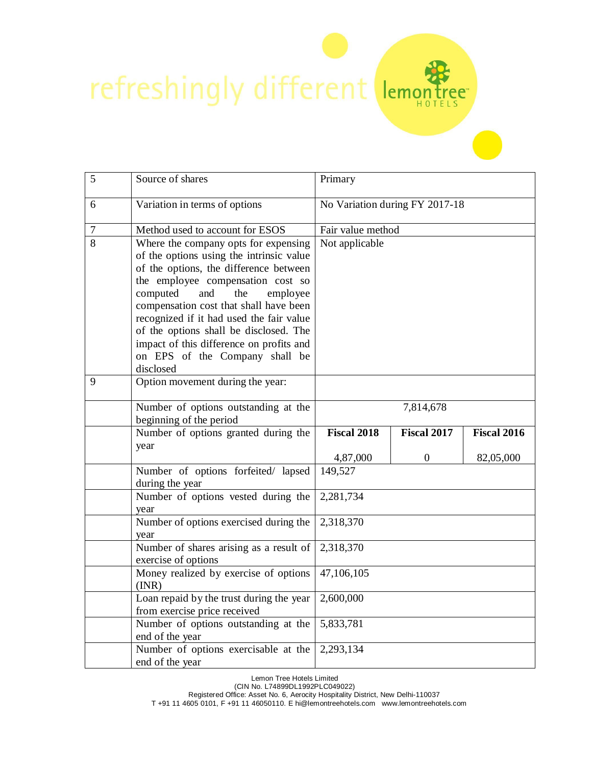refreshingly different lemon

| 5      | Source of shares                                                                                                                                                                                                                                                                                                                                                                                                                 | Primary                        |                    |             |
|--------|----------------------------------------------------------------------------------------------------------------------------------------------------------------------------------------------------------------------------------------------------------------------------------------------------------------------------------------------------------------------------------------------------------------------------------|--------------------------------|--------------------|-------------|
| 6      | Variation in terms of options                                                                                                                                                                                                                                                                                                                                                                                                    | No Variation during FY 2017-18 |                    |             |
| $\tau$ | Method used to account for ESOS                                                                                                                                                                                                                                                                                                                                                                                                  | Fair value method              |                    |             |
| 8      | Where the company opts for expensing<br>of the options using the intrinsic value<br>of the options, the difference between<br>the employee compensation cost so<br>computed<br>and<br>the<br>employee<br>compensation cost that shall have been<br>recognized if it had used the fair value<br>of the options shall be disclosed. The<br>impact of this difference on profits and<br>on EPS of the Company shall be<br>disclosed | Not applicable                 |                    |             |
| 9      | Option movement during the year:                                                                                                                                                                                                                                                                                                                                                                                                 |                                |                    |             |
|        | Number of options outstanding at the<br>beginning of the period                                                                                                                                                                                                                                                                                                                                                                  |                                | 7,814,678          |             |
|        | Number of options granted during the<br>year                                                                                                                                                                                                                                                                                                                                                                                     | <b>Fiscal 2018</b>             | <b>Fiscal 2017</b> | Fiscal 2016 |
|        |                                                                                                                                                                                                                                                                                                                                                                                                                                  | 4,87,000                       | $\overline{0}$     | 82,05,000   |
|        | Number of options forfeited/ lapsed<br>during the year                                                                                                                                                                                                                                                                                                                                                                           | 149,527                        |                    |             |
|        | Number of options vested during the<br>year                                                                                                                                                                                                                                                                                                                                                                                      | 2,281,734                      |                    |             |
|        | Number of options exercised during the<br>year                                                                                                                                                                                                                                                                                                                                                                                   | 2,318,370                      |                    |             |
|        | Number of shares arising as a result of<br>exercise of options                                                                                                                                                                                                                                                                                                                                                                   | 2,318,370                      |                    |             |
|        | Money realized by exercise of options<br>(INR)                                                                                                                                                                                                                                                                                                                                                                                   | 47,106,105                     |                    |             |
|        | Loan repaid by the trust during the year<br>from exercise price received                                                                                                                                                                                                                                                                                                                                                         | 2,600,000                      |                    |             |
|        | Number of options outstanding at the<br>end of the year                                                                                                                                                                                                                                                                                                                                                                          | 5,833,781                      |                    |             |
|        | Number of options exercisable at the<br>end of the year                                                                                                                                                                                                                                                                                                                                                                          | 2,293,134                      |                    |             |

ree

Lemon Tree Hotels Limited

(CIN No. L74899DL1992PLC049022)

Registered Office: Asset No. 6, Aerocity Hospitality District, New Delhi-110037

T +91 11 4605 0101, F +91 11 46050110. E hi@lemontreehotels.com www.lemontreehotels.com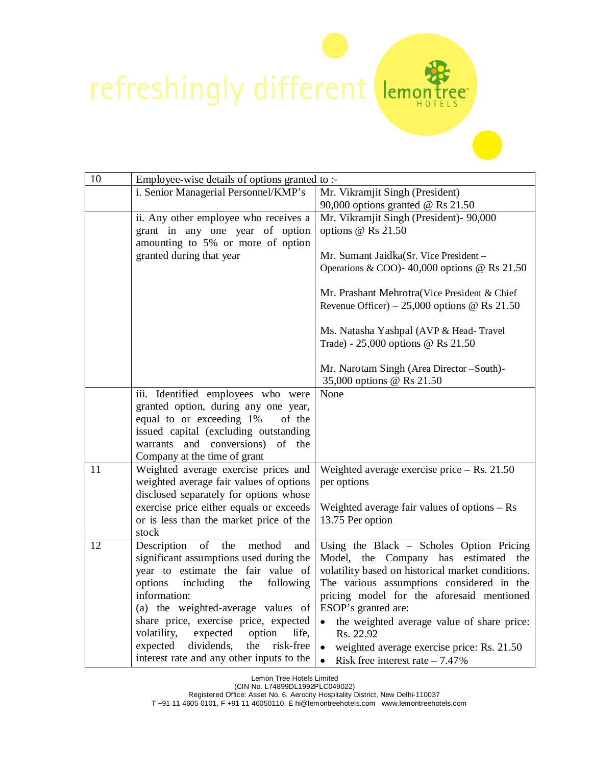## refreshingly different

| 10 | Employee-wise details of options granted to :-                                                                             |                                                                                                                                       |  |
|----|----------------------------------------------------------------------------------------------------------------------------|---------------------------------------------------------------------------------------------------------------------------------------|--|
|    | i. Senior Managerial Personnel/KMP's                                                                                       | Mr. Vikramjit Singh (President)                                                                                                       |  |
|    | ii. Any other employee who receives a                                                                                      | 90,000 options granted $\omega$ Rs 21.50<br>Mr. Vikramjit Singh (President)- 90,000                                                   |  |
|    | grant in any one year of option                                                                                            | options @ Rs 21.50                                                                                                                    |  |
|    | amounting to 5% or more of option                                                                                          |                                                                                                                                       |  |
|    | granted during that year                                                                                                   | Mr. Sumant Jaidka(Sr. Vice President -                                                                                                |  |
|    |                                                                                                                            | Operations & COO)- 40,000 options @ Rs $21.50$                                                                                        |  |
|    |                                                                                                                            | Mr. Prashant Mehrotra(Vice President & Chief<br>Revenue Officer) – 25,000 options @ Rs 21.50                                          |  |
|    |                                                                                                                            | Ms. Natasha Yashpal (AVP & Head-Travel<br>Trade) - 25,000 options @ Rs 21.50                                                          |  |
|    |                                                                                                                            | Mr. Narotam Singh (Area Director -South)-<br>35,000 options @ Rs 21.50                                                                |  |
|    | iii. Identified employees who were                                                                                         | None                                                                                                                                  |  |
|    | granted option, during any one year,                                                                                       |                                                                                                                                       |  |
|    | equal to or exceeding 1%<br>of the<br>issued capital (excluding outstanding                                                |                                                                                                                                       |  |
|    | warrants and conversions)<br>of the                                                                                        |                                                                                                                                       |  |
|    | Company at the time of grant                                                                                               |                                                                                                                                       |  |
| 11 | Weighted average exercise prices and                                                                                       | Weighted average exercise price $-$ Rs. 21.50                                                                                         |  |
|    | weighted average fair values of options                                                                                    | per options                                                                                                                           |  |
|    | disclosed separately for options whose<br>exercise price either equals or exceeds                                          |                                                                                                                                       |  |
|    | or is less than the market price of the                                                                                    | Weighted average fair values of options $-$ Rs<br>13.75 Per option                                                                    |  |
|    | stock                                                                                                                      |                                                                                                                                       |  |
| 12 | Description<br>of<br>the<br>method<br>and<br>significant assumptions used during the<br>year to estimate the fair value of | Using the Black - Scholes Option Pricing<br>Model, the Company has estimated the<br>volatility based on historical market conditions. |  |
|    | following<br>options<br>including<br>the                                                                                   | The various assumptions considered in the                                                                                             |  |
|    | information:                                                                                                               | pricing model for the aforesaid mentioned                                                                                             |  |
|    | (a) the weighted-average values of                                                                                         | ESOP's granted are:                                                                                                                   |  |
|    | share price, exercise price, expected                                                                                      | the weighted average value of share price:                                                                                            |  |
|    | expected<br>volatility,<br>option<br>life,<br>expected<br>dividends,<br>the<br>risk-free                                   | Rs. 22.92                                                                                                                             |  |
|    | interest rate and any other inputs to the                                                                                  | weighted average exercise price: Rs. 21.50<br>Risk free interest rate $-7.47\%$<br>$\bullet$                                          |  |

 $\sum_{\substack{\text{c}}$ 

Lemon Tree Hotels Limited

(CIN No. L74899DL1992PLC049022)

Registered Office: Asset No. 6, Aerocity Hospitality District, New Delhi-110037

T +91 11 4605 0101, F +91 11 46050110. E hi@lemontreehotels.com www.lemontreehotels.com